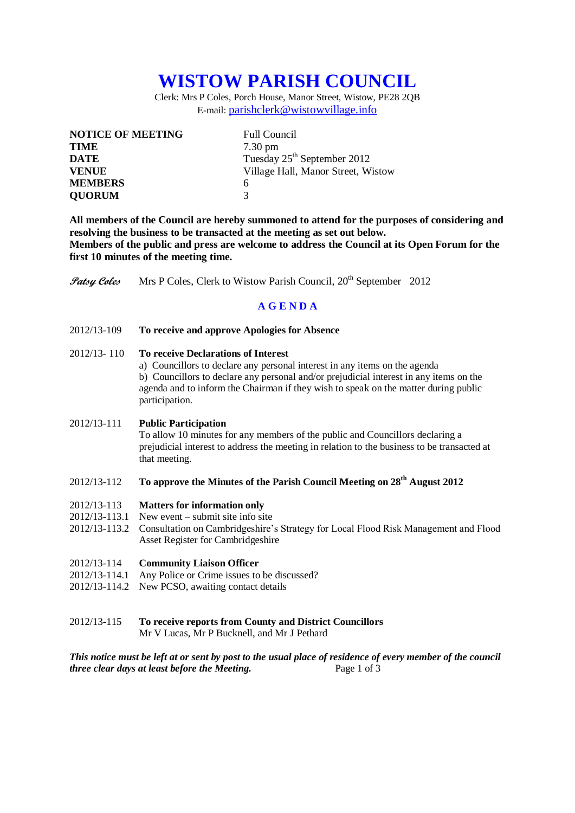# **WISTOW PARISH COUNCIL**

Clerk: Mrs P Coles, Porch House, Manor Street, Wistow, PE28 2QB E-mail: [parishclerk@wistowvillage.info](mailto:parishclerk@wistowvillage.info)

| <b>NOTICE OF MEETING</b> | <b>Full Council</b>                     |
|--------------------------|-----------------------------------------|
| <b>TIME</b>              | $7.30 \text{ pm}$                       |
| DATE                     | Tuesday 25 <sup>th</sup> September 2012 |
| <b>VENUE</b>             | Village Hall, Manor Street, Wistow      |
| <b>MEMBERS</b>           | 6                                       |
| <b>QUORUM</b>            | 3                                       |

**All members of the Council are hereby summoned to attend for the purposes of considering and resolving the business to be transacted at the meeting as set out below. Members of the public and press are welcome to address the Council at its Open Forum for the first 10 minutes of the meeting time.**

**Patsy Coles** Mrs P Coles, Clerk to Wistow Parish Council, 20<sup>th</sup> September 2012

### **A G E N D A**

2012/13-109 **To receive and approve Apologies for Absence**

#### 2012/13- 110 **To receive Declarations of Interest**

a) Councillors to declare any personal interest in any items on the agenda b) Councillors to declare any personal and/or prejudicial interest in any items on the agenda and to inform the Chairman if they wish to speak on the matter during public participation.

#### 2012/13-111 **Public Participation**

To allow 10 minutes for any members of the public and Councillors declaring a prejudicial interest to address the meeting in relation to the business to be transacted at that meeting.

## 2012/13-112 **To approve the Minutes of the Parish Council Meeting on 28th August 2012**

- 2012/13-113 **Matters for information only**
- 2012/13-113.1 New event submit site info site
- 2012/13-113.2 Consultation on Cambridgeshire's Strategy for Local Flood Risk Management and Flood Asset Register for Cambridgeshire
- 2012/13-114 **Community Liaison Officer**
- 2012/13-114.1 Any Police or Crime issues to be discussed?
- 2012/13-114.2 New PCSO, awaiting contact details
- 2012/13-115 **To receive reports from County and District Councillors**

Mr V Lucas, Mr P Bucknell, and Mr J Pethard

*This notice must be left at or sent by post to the usual place of residence of every member of the council three clear days at least before the Meeting.* Page 1 of 3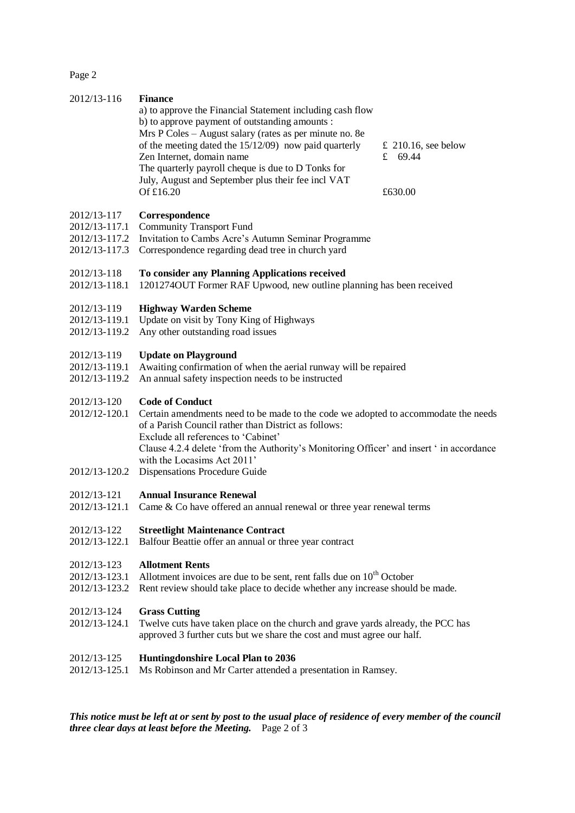Page 2

| <b>Finance</b><br>a) to approve the Financial Statement including cash flow<br>b) to approve payment of outstanding amounts :<br>Mrs P Coles - August salary (rates as per minute no. 8e<br>of the meeting dated the $15/12/09$ now paid quarterly<br>Zen Internet, domain name<br>The quarterly payroll cheque is due to D Tonks for<br>July, August and September plus their fee incl VAT<br>Of £16.20 | $£$ 210.16, see below<br>£ $69.44$<br>£630.00 |  |
|----------------------------------------------------------------------------------------------------------------------------------------------------------------------------------------------------------------------------------------------------------------------------------------------------------------------------------------------------------------------------------------------------------|-----------------------------------------------|--|
| Correspondence<br><b>Community Transport Fund</b><br>Invitation to Cambs Acre's Autumn Seminar Programme<br>Correspondence regarding dead tree in church yard                                                                                                                                                                                                                                            |                                               |  |
| To consider any Planning Applications received<br>12012740UT Former RAF Upwood, new outline planning has been received                                                                                                                                                                                                                                                                                   |                                               |  |
| <b>Highway Warden Scheme</b><br>Update on visit by Tony King of Highways<br>Any other outstanding road issues                                                                                                                                                                                                                                                                                            |                                               |  |
| <b>Update on Playground</b><br>Awaiting confirmation of when the aerial runway will be repaired<br>An annual safety inspection needs to be instructed                                                                                                                                                                                                                                                    |                                               |  |
| <b>Code of Conduct</b><br>Certain amendments need to be made to the code we adopted to accommodate the needs<br>of a Parish Council rather than District as follows:<br>Exclude all references to 'Cabinet'<br>Clause 4.2.4 delete 'from the Authority's Monitoring Officer' and insert ' in accordance<br>with the Locasims Act 2011'<br>Dispensations Procedure Guide                                  |                                               |  |
| <b>Annual Insurance Renewal</b><br>Came & Co have offered an annual renewal or three year renewal terms                                                                                                                                                                                                                                                                                                  |                                               |  |
| <b>Streetlight Maintenance Contract</b><br>Balfour Beattie offer an annual or three year contract                                                                                                                                                                                                                                                                                                        |                                               |  |
| <b>Allotment Rents</b><br>Allotment invoices are due to be sent, rent falls due on $10^{th}$ October<br>Rent review should take place to decide whether any increase should be made.                                                                                                                                                                                                                     |                                               |  |
| <b>Grass Cutting</b><br>Twelve cuts have taken place on the church and grave yards already, the PCC has<br>approved 3 further cuts but we share the cost and must agree our half.                                                                                                                                                                                                                        |                                               |  |
| <b>Huntingdonshire Local Plan to 2036</b><br>Ms Robinson and Mr Carter attended a presentation in Ramsey.                                                                                                                                                                                                                                                                                                |                                               |  |
| 2012/13-117.2<br>2012/13-120.2                                                                                                                                                                                                                                                                                                                                                                           | 2012/13-121.1                                 |  |

*This notice must be left at or sent by post to the usual place of residence of every member of the council three clear days at least before the Meeting.* Page 2 of 3